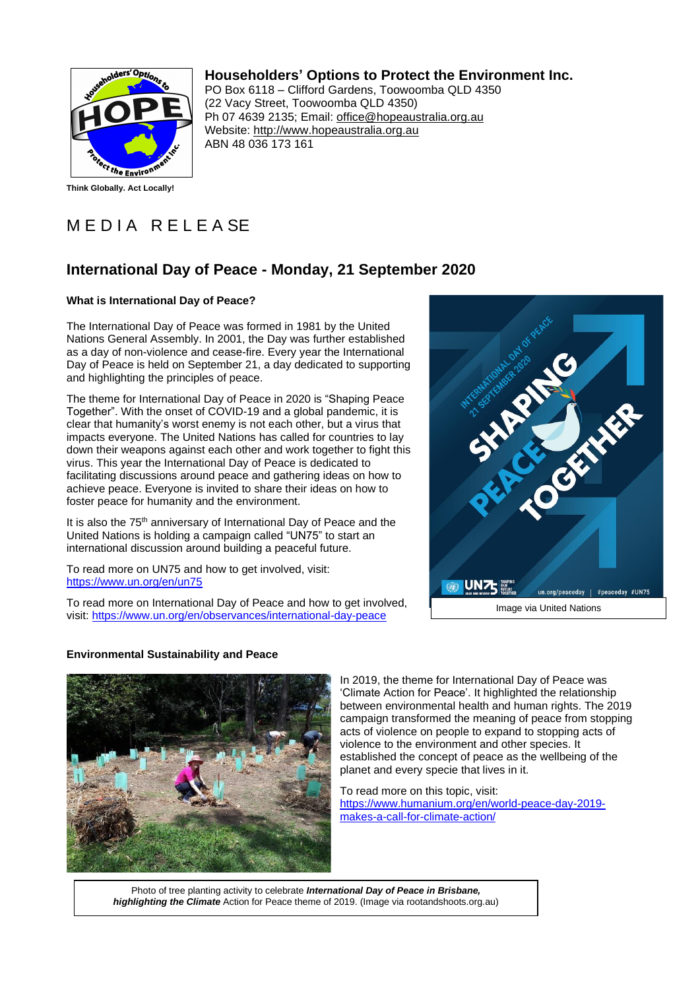

**Think Globally. Act Locally!**

## **Householders' Options to Protect the Environment Inc.**

PO Box 6118 – Clifford Gardens, Toowoomba QLD 4350 (22 Vacy Street, Toowoomba QLD 4350) Ph 07 4639 2135; Email: office@hopeaustralia.org.au Website: http://www.hopeaustralia.org.au ABN 48 036 173 161

# MEDIA RELEASE

### **International Day of Peace - Monday, 21 September 2020**

#### **What is International Day of Peace?**

The International Day of Peace was formed in 1981 by the United Nations General Assembly. In 2001, the Day was further established as a day of non-violence and cease-fire. Every year the International Day of Peace is held on September 21, a day dedicated to supporting and highlighting the principles of peace.

The theme for International Day of Peace in 2020 is "Shaping Peace Together". With the onset of COVID-19 and a global pandemic, it is clear that humanity's worst enemy is not each other, but a virus that impacts everyone. The United Nations has called for countries to lay down their weapons against each other and work together to fight this virus. This year the International Day of Peace is dedicated to facilitating discussions around peace and gathering ideas on how to achieve peace. Everyone is invited to share their ideas on how to foster peace for humanity and the environment.

It is also the 75<sup>th</sup> anniversary of International Day of Peace and the United Nations is holding a campaign called "UN75" to start an international discussion around building a peaceful future.

To read more on UN75 and how to get involved, visit: https://www.un.org/en/un75

To read more on International Day of Peace and how to get involved, visit: https://www.un.org/en/observances/international-day-peace



#### **Environmental Sustainability and Peace**



In 2019, the theme for International Day of Peace was 'Climate Action for Peace'. It highlighted the relationship between environmental health and human rights. The 2019 campaign transformed the meaning of peace from stopping acts of violence on people to expand to stopping acts of violence to the environment and other species. It established the concept of peace as the wellbeing of the planet and every specie that lives in it.

To read more on this topic, visit: https://www.humanium.org/en/world-peace-day-2019 makes-a-call-for-climate-action/

Photo of tree planting activity to celebrate *International Day of Peace in Brisbane, highlighting the Climate* Action for Peace theme of 2019. (Image via rootandshoots.org.au)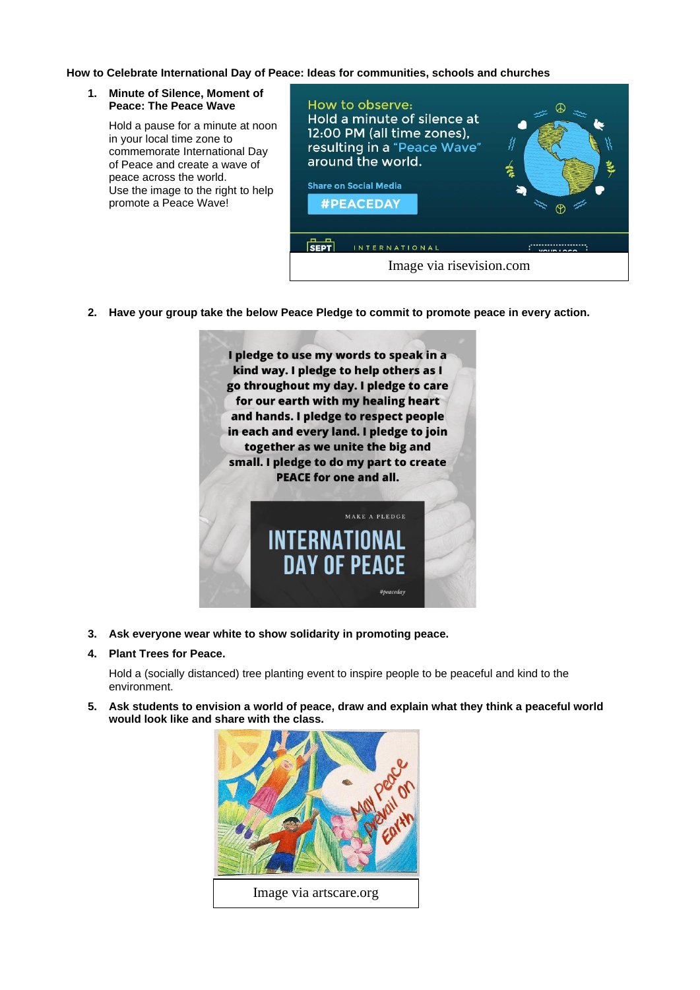#### **How to Celebrate International Day of Peace: Ideas for communities, schools and churches**

#### **1. Minute of Silence, Moment of Peace: The Peace Wave**

Hold a pause for a minute at noon in your local time zone to commemorate International Day of Peace and create a wave of peace across the world. Use the image to the right to help promote a Peace Wave!



**2. Have your group take the below Peace Pledge to commit to promote peace in every action.**



**3. Ask everyone wear white to show solidarity in promoting peace.**

#### **4. Plant Trees for Peace.**

Hold a (socially distanced) tree planting event to inspire people to be peaceful and kind to the environment.

**5. Ask students to envision a world of peace, draw and explain what they think a peaceful world would look like and share with the class.**